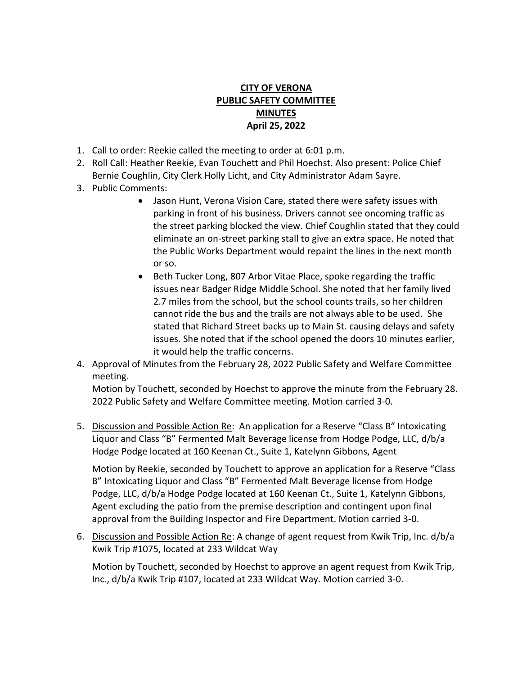## **CITY OF VERONA PUBLIC SAFETY COMMITTEE MINUTES April 25, 2022**

- 1. Call to order: Reekie called the meeting to order at 6:01 p.m.
- 2. Roll Call: Heather Reekie, Evan Touchett and Phil Hoechst. Also present: Police Chief Bernie Coughlin, City Clerk Holly Licht, and City Administrator Adam Sayre.
- 3. Public Comments:
	- Jason Hunt, Verona Vision Care, stated there were safety issues with parking in front of his business. Drivers cannot see oncoming traffic as the street parking blocked the view. Chief Coughlin stated that they could eliminate an on-street parking stall to give an extra space. He noted that the Public Works Department would repaint the lines in the next month or so.
	- Beth Tucker Long, 807 Arbor Vitae Place, spoke regarding the traffic issues near Badger Ridge Middle School. She noted that her family lived 2.7 miles from the school, but the school counts trails, so her children cannot ride the bus and the trails are not always able to be used. She stated that Richard Street backs up to Main St. causing delays and safety issues. She noted that if the school opened the doors 10 minutes earlier, it would help the traffic concerns.
- 4. Approval of Minutes from the February 28, 2022 Public Safety and Welfare Committee meeting.

Motion by Touchett, seconded by Hoechst to approve the minute from the February 28. 2022 Public Safety and Welfare Committee meeting. Motion carried 3-0.

5. Discussion and Possible Action Re: An application for a Reserve "Class B" Intoxicating Liquor and Class "B" Fermented Malt Beverage license from Hodge Podge, LLC, d/b/a Hodge Podge located at 160 Keenan Ct., Suite 1, Katelynn Gibbons, Agent

Motion by Reekie, seconded by Touchett to approve an application for a Reserve "Class B" Intoxicating Liquor and Class "B" Fermented Malt Beverage license from Hodge Podge, LLC, d/b/a Hodge Podge located at 160 Keenan Ct., Suite 1, Katelynn Gibbons, Agent excluding the patio from the premise description and contingent upon final approval from the Building Inspector and Fire Department. Motion carried 3-0.

6. Discussion and Possible Action Re: A change of agent request from Kwik Trip, Inc. d/b/a Kwik Trip #1075, located at 233 Wildcat Way

Motion by Touchett, seconded by Hoechst to approve an agent request from Kwik Trip, Inc., d/b/a Kwik Trip #107, located at 233 Wildcat Way. Motion carried 3-0.